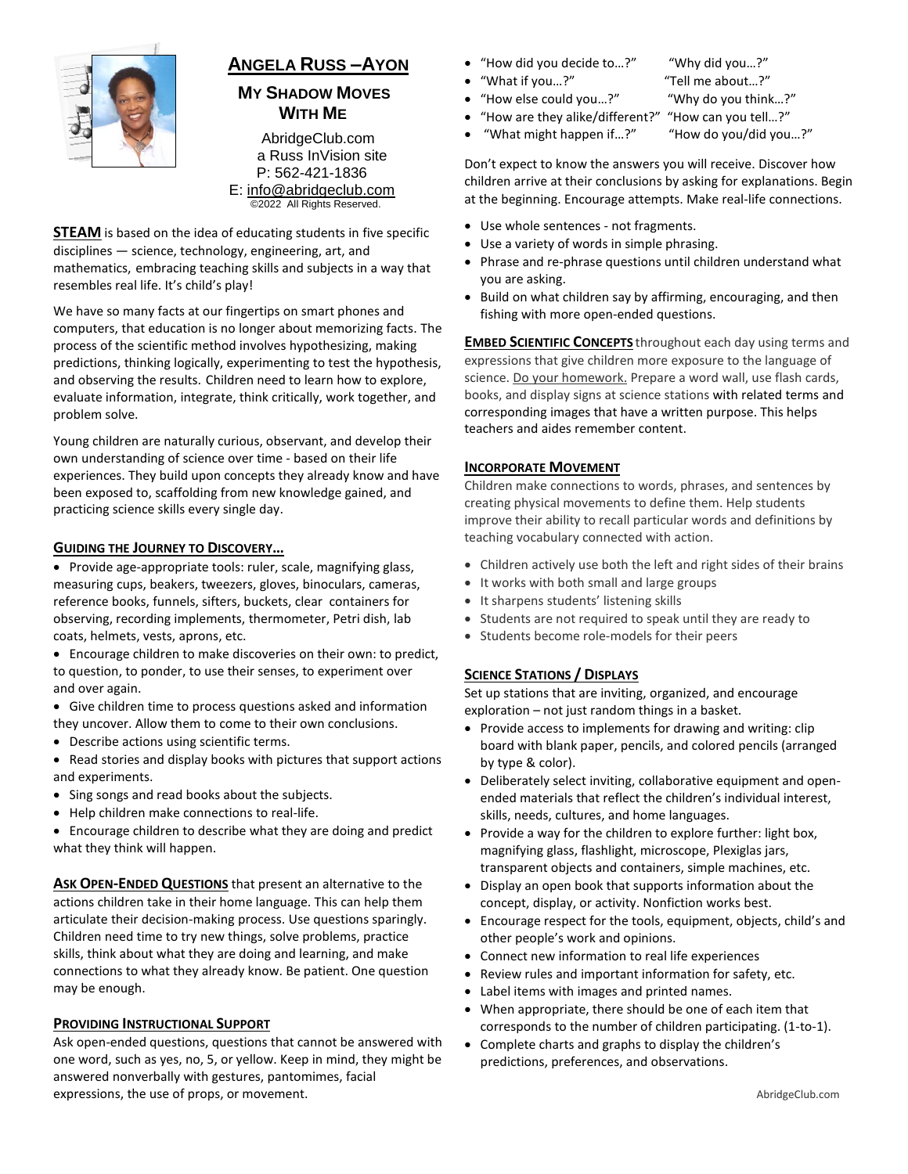

# **ANGELA RUSS –AYON**

# **MY SHADOW MOVES WITH ME**

AbridgeClub.com a Russ InVision site P: 562-421-1836 E: [info@abridgeclub.com](mailto:info@abridgeclub.com) ©2022 All Rights Reserved.

**STEAM** is based on the idea of educating students in five specific disciplines — science, technology, engineering, art, and mathematics, embracing teaching skills and subjects in a way that resembles real life. It's child's play!

We have so many facts at our fingertips on smart phones and computers, that education is no longer about memorizing facts. The process of the scientific method involves hypothesizing, making predictions, thinking logically, experimenting to test the hypothesis, and observing the results. Children need to learn how to explore, evaluate information, integrate, think critically, work together, and problem solve.

Young children are naturally curious, observant, and develop their own understanding of science over time - based on their life experiences. They build upon concepts they already know and have been exposed to, scaffolding from new knowledge gained, and practicing science skills every single day.

### **GUIDING THE JOURNEY TO DISCOVERY…**

- Provide age-appropriate tools: ruler, scale, magnifying glass, measuring cups, beakers, tweezers, gloves, binoculars, cameras, reference books, funnels, sifters, buckets, clear containers for observing, recording implements, thermometer, Petri dish, lab coats, helmets, vests, aprons, etc.
- Encourage children to make discoveries on their own: to predict, to question, to ponder, to use their senses, to experiment over and over again.
- Give children time to process questions asked and information they uncover. Allow them to come to their own conclusions.
- Describe actions using scientific terms.
- Read stories and display books with pictures that support actions and experiments.
- Sing songs and read books about the subjects.
- Help children make connections to real-life.
- Encourage children to describe what they are doing and predict what they think will happen.

**ASK OPEN-ENDED QUESTIONS** that present an alternative to the actions children take in their home language. This can help them articulate their decision-making process. Use questions sparingly. Children need time to try new things, solve problems, practice skills, think about what they are doing and learning, and make connections to what they already know. Be patient. One question may be enough.

### **PROVIDING INSTRUCTIONAL SUPPORT**

Ask open-ended questions, questions that cannot be answered with one word, such as yes, no, 5, or yellow. Keep in mind, they might be answered nonverbally with gestures, pantomimes, facial expressions, the use of props, or movement.

- "How did you decide to…?" "Why did you…?"
	- "What if you…?" "Tell me about…?"
- "How else could you…?" "Why do you think…?"

- "How are they alike/different?" "How can you tell…?"
	- "What might happen if...?" "How do you/did you...?"

Don't expect to know the answers you will receive. Discover how children arrive at their conclusions by asking for explanations. Begin at the beginning. Encourage attempts. Make real-life connections.

- Use whole sentences not fragments.
- Use a variety of words in simple phrasing.
- Phrase and re-phrase questions until children understand what you are asking.
- Build on what children say by affirming, encouraging, and then fishing with more open-ended questions.

**EMBED SCIENTIFIC CONCEPTS** throughout each day using terms and expressions that give children more exposure to the language of science. Do your homework. Prepare a word wall, use flash cards, books, and display signs at science stations with related terms and corresponding images that have a written purpose. This helps teachers and aides remember content.

### **INCORPORATE MOVEMENT**

Children make connections to words, phrases, and sentences by creating physical movements to define them. Help students improve their ability to recall particular words and definitions by teaching vocabulary connected with action.

- Children actively use both the left and right sides of their brains
- It works with both small and large groups
- It sharpens students' listening skills
- Students are not required to speak until they are ready to
- Students become role-models for their peers

### **SCIENCE STATIONS / DISPLAYS**

Set up stations that are inviting, organized, and encourage exploration – not just random things in a basket.

- Provide access to implements for drawing and writing: clip board with blank paper, pencils, and colored pencils (arranged by type & color).
- Deliberately select inviting, collaborative equipment and open ended materials that reflect the children's individual interest, skills, needs, cultures, and home languages.
- Provide a way for the children to explore further: light box, magnifying glass, flashlight, microscope, Plexiglas jars, transparent objects and containers, simple machines, etc.
- Display an open book that supports information about the concept, display, or activity. Nonfiction works best.
- Encourage respect for the tools, equipment, objects, child's and other people's work and opinions.
- Connect new information to real life experiences
- Review rules and important information for safety, etc.
- Label items with images and printed names.
- When appropriate, there should be one of each item that corresponds to the number of children participating. (1-to-1).
- Complete charts and graphs to display the children's predictions, preferences, and observations.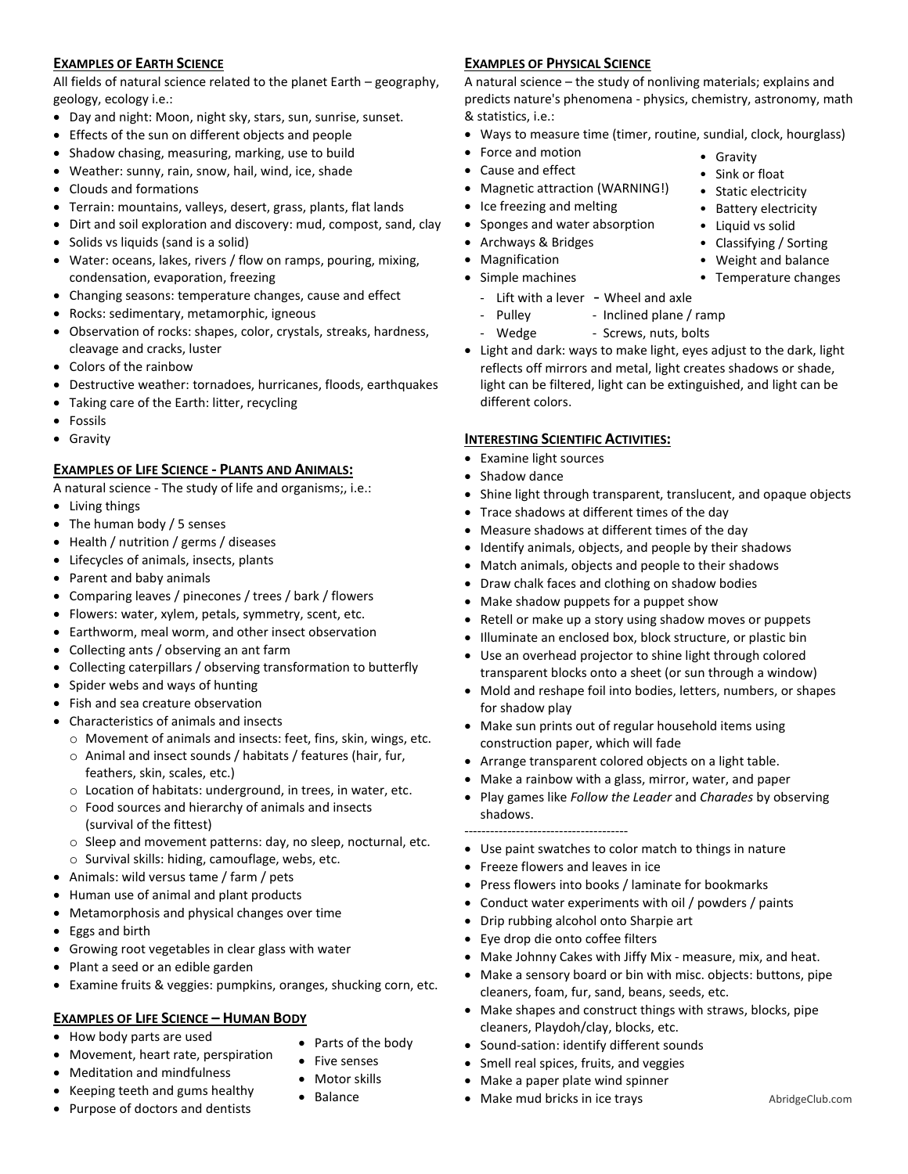# **EXAMPLES OF EARTH SCIENCE**

All fields of natural science related to the planet Earth – geography, geology, ecology i.e.:

- Day and night: Moon, night sky, stars, sun, sunrise, sunset.
- Effects of the sun on different objects and people
- Shadow chasing, measuring, marking, use to build
- Weather: sunny, rain, snow, hail, wind, ice, shade
- Clouds and formations
- Terrain: mountains, valleys, desert, grass, plants, flat lands
- Dirt and soil exploration and discovery: mud, compost, sand, clay
- Solids vs liquids (sand is a solid)
- Water: oceans, lakes, rivers / flow on ramps, pouring, mixing, condensation, evaporation, freezing
- Changing seasons: temperature changes, cause and effect
- Rocks: sedimentary, metamorphic, igneous
- Observation of rocks: shapes, color, crystals, streaks, hardness, cleavage and cracks, luster
- Colors of the rainbow
- Destructive weather: tornadoes, hurricanes, floods, earthquakes
- Taking care of the Earth: litter, recycling
- **•** Fossils
- Gravity

### **EXAMPLES OF LIFE SCIENCE - PLANTS AND ANIMALS:**

A natural science - The study of life and organisms;, i.e.:

- Living things
- The human body / 5 senses
- Health / nutrition / germs / diseases
- Lifecycles of animals, insects, plants
- Parent and baby animals
- Comparing leaves / pinecones / trees / bark / flowers
- Flowers: water, xylem, petals, symmetry, scent, etc.
- Earthworm, meal worm, and other insect observation
- Collecting ants / observing an ant farm
- Collecting caterpillars / observing transformation to butterfly
- Spider webs and ways of hunting
- Fish and sea creature observation
- Characteristics of animals and insects
	- o Movement of animals and insects: feet, fins, skin, wings, etc.
	- o Animal and insect sounds / habitats / features (hair, fur, feathers, skin, scales, etc.)
	- o Location of habitats: underground, in trees, in water, etc.
	- o Food sources and hierarchy of animals and insects (survival of the fittest)
	- o Sleep and movement patterns: day, no sleep, nocturnal, etc. o Survival skills: hiding, camouflage, webs, etc.
- Animals: wild versus tame / farm / pets
- Human use of animal and plant products
- Metamorphosis and physical changes over time
- Eggs and birth
- Growing root vegetables in clear glass with water
- Plant a seed or an edible garden
- Examine fruits & veggies: pumpkins, oranges, shucking corn, etc.

# **EXAMPLES OF LIFE SCIENCE – HUMAN BODY**

- How body parts are used
- Movement, heart rate, perspiration
- Meditation and mindfulness
- Keeping teeth and gums healthy
- Purpose of doctors and dentists
- Parts of the body
- Five senses
- Motor skills
- Balance

# **EXAMPLES OF PHYSICAL SCIENCE**

A natural science – the study of nonliving materials; explains and predicts nature's phenomena - physics, chemistry, astronomy, math & statistics, i.e.:

Ways to measure time (timer, routine, sundial, clock, hourglass)

• Gravity • Sink or float • Static electricity • Battery electricity • Liquid vs solid • Classifying / Sorting • Weight and balance • Temperature changes

- Force and motion
- Cause and effect
- Magnetic attraction (WARNING!)
- Ice freezing and melting
- Sponges and water absorption
- Archways & Bridges
- Magnification
- Simple machines
	- Lift with a lever Wheel and axle
	- Pulley Inclined plane / ramp
	- Wedge Screws, nuts, bolts
- Light and dark: ways to make light, eyes adjust to the dark, light reflects off mirrors and metal, light creates shadows or shade, light can be filtered, light can be extinguished, and light can be different colors.

### **INTERESTING SCIENTIFIC ACTIVITIES:**

- Examine light sources
- Shadow dance
- Shine light through transparent, translucent, and opaque objects
- Trace shadows at different times of the day
- Measure shadows at different times of the day
- Identify animals, objects, and people by their shadows
- Match animals, objects and people to their shadows
- Draw chalk faces and clothing on shadow bodies
- Make shadow puppets for a puppet show
- Retell or make up a story using shadow moves or puppets
- Illuminate an enclosed box, block structure, or plastic bin
- Use an overhead projector to shine light through colored transparent blocks onto a sheet (or sun through a window)
- Mold and reshape foil into bodies, letters, numbers, or shapes for shadow play
- Make sun prints out of regular household items using construction paper, which will fade
- Arrange transparent colored objects on a light table.
- Make a rainbow with a glass, mirror, water, and paper
- Play games like *Follow the Leader* and *Charades* by observing shadows.

### --------------------------------------

- Use paint swatches to color match to things in nature
- Freeze flowers and leaves in ice
- Press flowers into books / laminate for bookmarks
- Conduct water experiments with oil / powders / paints
- Drip rubbing alcohol onto Sharpie art
- Eye drop die onto coffee filters
- Make Johnny Cakes with Jiffy Mix measure, mix, and heat.
- Make a sensory board or bin with misc. objects: buttons, pipe cleaners, foam, fur, sand, beans, seeds, etc.
- Make shapes and construct things with straws, blocks, pipe cleaners, Playdoh/clay, blocks, etc.

• Make mud bricks in ice trays AbridgeClub.com

 Sound-sation: identify different sounds • Smell real spices, fruits, and veggies

Make a paper plate wind spinner